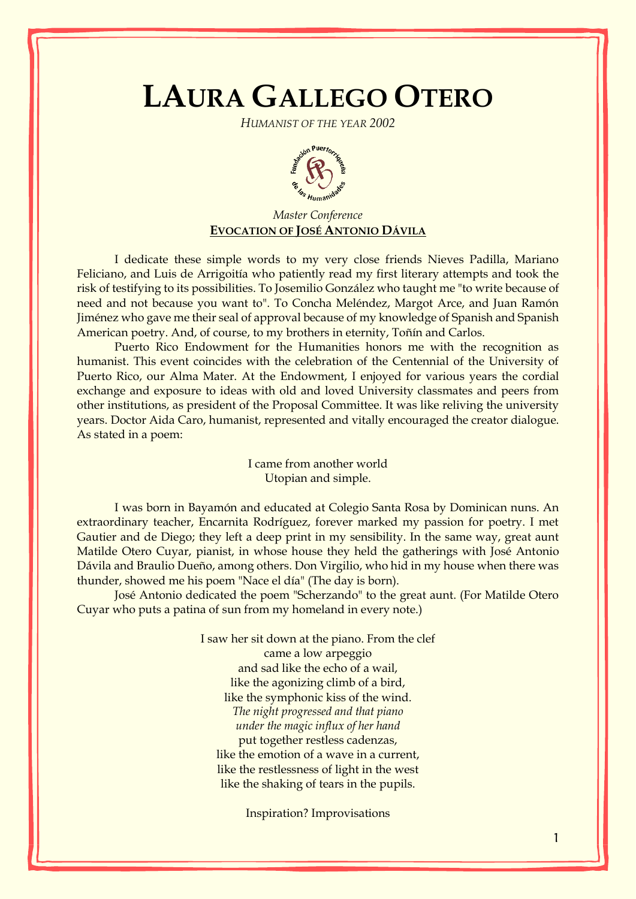## **LAURA GALLEGO OTERO**

*HUMANIST OF THE YEAR 2002*



## *Master Conference* **EVOCATION OF JOSÉ ANTONIO DÁVILA**

I dedicate these simple words to my very close friends Nieves Padilla, Mariano Feliciano, and Luis de Arrigoitía who patiently read my first literary attempts and took the risk of testifying to its possibilities. To Josemilio González who taught me "to write because of need and not because you want to". To Concha Meléndez, Margot Arce, and Juan Ramón Jiménez who gave me their seal of approval because of my knowledge of Spanish and Spanish American poetry. And, of course, to my brothers in eternity, Toñín and Carlos.

Puerto Rico Endowment for the Humanities honors me with the recognition as humanist. This event coincides with the celebration of the Centennial of the University of Puerto Rico, our Alma Mater. At the Endowment, I enjoyed for various years the cordial exchange and exposure to ideas with old and loved University classmates and peers from other institutions, as president of the Proposal Committee. It was like reliving the university years. Doctor Aida Caro, humanist, represented and vitally encouraged the creator dialogue. As stated in a poem:

> I came from another world Utopian and simple.

I was born in [Bayamón](http://www.enciclopediapr.org/ing/article.cfm?ref=07121001) and educated at Colegio Santa Rosa by Dominican nuns. An extraordinary teacher, Encarnita Rodríguez, forever marked my passion for poetry. I met Gautier and de Diego; they left a deep print in my sensibility. In the same way, great aunt Matilde Otero Cuyar, pianist, in whose house they held the gatherings with José Antonio Dávila and Braulio Dueño, among others. Don Virgilio, who hid in my house when there was thunder, showed me his poem "Nace el día" (The day is born).

José Antonio dedicated the poem "Scherzando" to the great aunt. (For Matilde Otero Cuyar who puts a patina of sun from my homeland in every note.)

> I saw her sit down at the piano. From the clef came a low arpeggio and sad like the echo of a wail, like the agonizing climb of a bird, like the symphonic kiss of the wind. *The night progressed and that piano under the magic influx of her hand* put together restless cadenzas, like the emotion of a wave in a current, like the restlessness of light in the west like the shaking of tears in the pupils.

> > Inspiration? Improvisations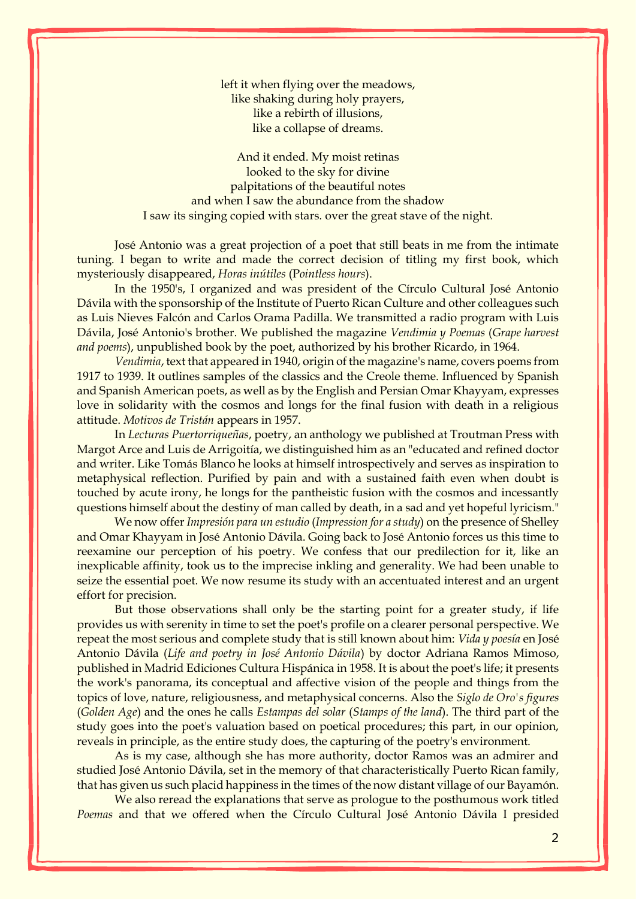left it when flying over the meadows, like shaking during holy prayers, like a rebirth of illusions, like a collapse of dreams.

And it ended. My moist retinas looked to the sky for divine palpitations of the beautiful notes and when I saw the abundance from the shadow I saw its singing copied with stars*.* over the great stave of the night.

José Antonio was a great projection of a poet that still beats in me from the intimate tuning. I began to write and made the correct decision of titling my first book, which mysteriously disappeared, *Horas inútiles* (P*ointless hours*).

In the 1950's, I organized and was president of the Círculo Cultural José Antonio Dávila with the sponsorship of the Institute of Puerto Rican Culture and other colleagues such as Luis Nieves Falcón and Carlos Orama Padilla. We transmitted a radio program with Luis Dávila, José Antonio's brother. We published the magazine *Vendimia y Poemas* (*Grape harvest and poems*), unpublished book by the poet, authorized by his brother Ricardo, in 1964.

*Vendimia*, text that appeared in 1940, origin of the magazine's name, covers poems from 1917 to 1939. It outlines samples of the classics and the Creole theme. Influenced by Spanish and Spanish American poets, as well as by the English and Persian Omar Khayyam, expresses love in solidarity with the cosmos and longs for the final fusion with death in a religious attitude. *Motivos de Tristán* appears in 1957.

In *Lecturas Puertorriqueñas*, poetry, an anthology we published at Troutman Press with Margot Arce and Luis de Arrigoitía, we distinguished him as an "educated and refined doctor and writer. Like Tomás Blanco he looks at himself introspectively and serves as inspiration to metaphysical reflection. Purified by pain and with a sustained faith even when doubt is touched by acute irony, he longs for the pantheistic fusion with the cosmos and incessantly questions himself about the destiny of man called by death, in a sad and yet hopeful lyricism."

We now offer *Impresión para un estudio* (*Impression for a study*) on the presence of Shelley and Omar Khayyam in José Antonio Dávila. Going back to José Antonio forces us this time to reexamine our perception of his poetry. We confess that our predilection for it, like an inexplicable affinity, took us to the imprecise inkling and generality. We had been unable to seize the essential poet. We now resume its study with an accentuated interest and an urgent effort for precision.

But those observations shall only be the starting point for a greater study, if life provides us with serenity in time to set the poet's profile on a clearer personal perspective. We repeat the most serious and complete study that is still known about him: *Vida y poesía* en José Antonio Dávila (*Life and poetry in José Antonio Dávila*) by doctor Adriana Ramos Mimoso, published in Madrid Ediciones Cultura Hispánica in 1958. It is about the poet's life; it presents the work's panorama, its conceptual and affective vision of the people and things from the topics of love, nature, religiousness, and metaphysical concerns. Also the *Siglo de Oro's figures*  (*Golden Age*) and the ones he calls *Estampas del solar* (*Stamps of the land*). The third part of the study goes into the poet's valuation based on poetical procedures; this part, in our opinion, reveals in principle, as the entire study does, the capturing of the poetry's environment.

As is my case, although she has more authority, doctor Ramos was an admirer and studied José Antonio Dávila, set in the memory of that characteristically Puerto Rican family, that has given us such placid happiness in the times of the now distant village of our Bayamón.

We also reread the explanations that serve as prologue to the posthumous work titled *Poemas* and that we offered when the Círculo Cultural José Antonio Dávila I presided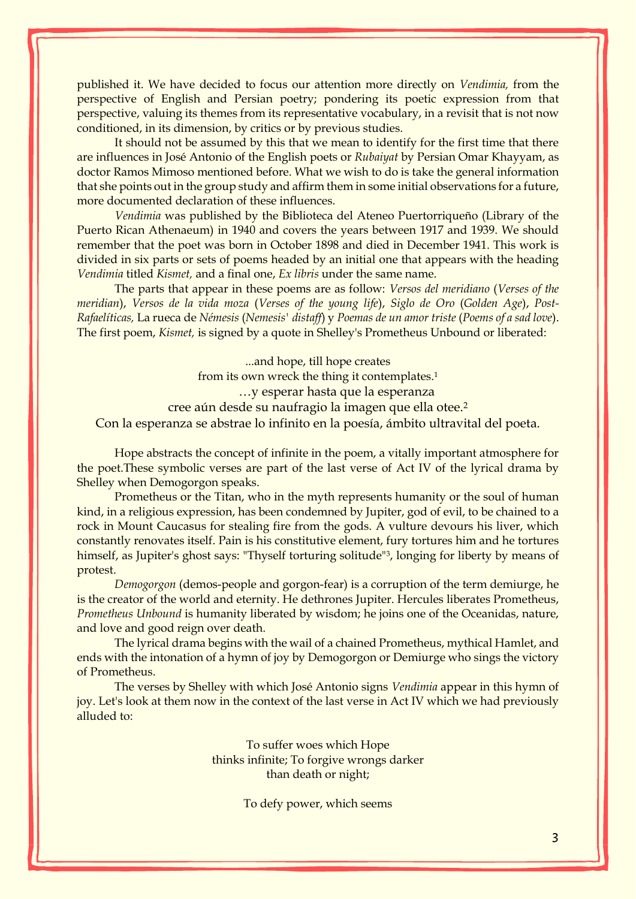published it. We have decided to focus our attention more directly on *Vendimia,* from the perspective of English and Persian poetry; pondering its poetic expression from that perspective, valuing its themes from its representative vocabulary, in a revisit that is not now conditioned, in its dimension, by critics or by previous studies.

It should not be assumed by this that we mean to identify for the first time that there are influences in José Antonio of the English poets or *Rubaiyat* by Persian Omar Khayyam, as doctor Ramos Mimoso mentioned before. What we wish to do is take the general information that she points out in the group study and affirm them in some initial observations for a future, more documented declaration of these influences.

*Vendimia* was published by the Biblioteca del Ateneo Puertorriqueño (Library of the Puerto Rican Athenaeum) in 1940 and covers the years between 1917 and 1939. We should remember that the poet was born in October 1898 and died in December 1941. This work is divided in six parts or sets of poems headed by an initial one that appears with the heading *Vendimia* titled *Kismet,* and a final one, *Ex libris* under the same name.

The parts that appear in these poems are as follow: *Versos del meridiano* (*Verses of the meridian*), *Versos de la vida moza* (*Verses of the young life*), *Siglo de Oro* (*Golden Age*), *Post-Rafaelíticas,* La rueca de *Némesis* (*Nemesis' distaff*) y *Poemas de un amor triste* (*Poems of a sad love*). The first poem, *Kismet,* is signed by a quote in Shelley's Prometheus Unbound or liberated:

...and hope, till hope creates from its own wreck the thing it contemplates.<sup>1</sup> …y esperar hasta que la esperanza cree aún desde su naufragio la imagen que ella otee.<sup>2</sup> Con la esperanza se abstrae lo infinito en la poesía, ámbito ultravital del poeta.

Hope abstracts the concept of infinite in the poem, a vitally important atmosphere for the poet.These symbolic verses are part of the last verse of Act IV of the lyrical drama by Shelley when Demogorgon speaks.

Prometheus or the Titan, who in the myth represents humanity or the soul of human kind, in a religious expression, has been condemned by Jupiter, god of evil, to be chained to a rock in Mount Caucasus for stealing fire from the gods. A vulture devours his liver, which constantly renovates itself. Pain is his constitutive element, fury tortures him and he tortures himself, as Jupiter's ghost says: "Thyself torturing solitude"<sup>3</sup>, longing for liberty by means of protest.

*Demogorgon* (demos-people and gorgon-fear) is a corruption of the term demiurge, he is the creator of the world and eternity. He dethrones Jupiter. Hercules liberates Prometheus, *Prometheus Unbound* is humanity liberated by wisdom; he joins one of the Oceanidas, nature, and love and good reign over death.

The lyrical drama begins with the wail of a chained Prometheus, mythical Hamlet, and ends with the intonation of a hymn of joy by Demogorgon or Demiurge who sings the victory of Prometheus.

The verses by Shelley with which José Antonio signs *Vendimia* appear in this hymn of joy. Let's look at them now in the context of the last verse in Act IV which we had previously alluded to:

> To suffer woes which Hope thinks infinite; To forgive wrongs darker than death or night;

> > To defy power, which seems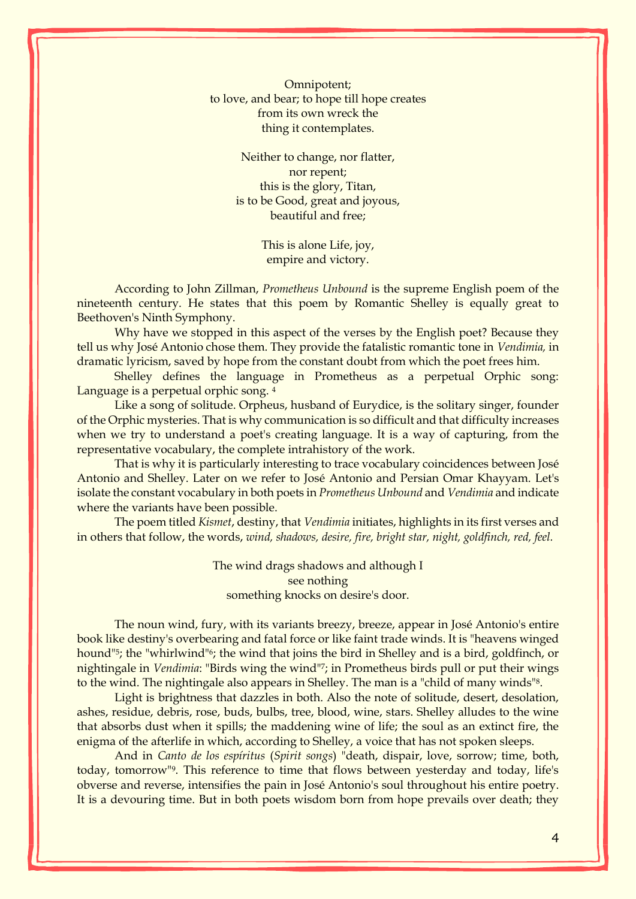Omnipotent; to love, and bear; to hope till hope creates from its own wreck the thing it contemplates.

> Neither to change, nor flatter, nor repent; this is the glory, Titan, is to be Good, great and joyous, beautiful and free;

> > This is alone Life, joy, empire and victory.

According to John Zillman, *Prometheus Unbound* is the supreme English poem of the nineteenth century. He states that this poem by Romantic Shelley is equally great to Beethoven's Ninth Symphony.

Why have we stopped in this aspect of the verses by the English poet? Because they tell us why José Antonio chose them. They provide the fatalistic romantic tone in *Vendimia,* in dramatic lyricism, saved by hope from the constant doubt from which the poet frees him.

Shelley defines the language in Prometheus as a perpetual Orphic song: Language is a perpetual orphic song. 4

Like a song of solitude. Orpheus, husband of Eurydice, is the solitary singer, founder of the Orphic mysteries. That is why communication is so difficult and that difficulty increases when we try to understand a poet's creating language. It is a way of capturing, from the representative vocabulary, the complete intrahistory of the work.

That is why it is particularly interesting to trace vocabulary coincidences between José Antonio and Shelley. Later on we refer to José Antonio and Persian Omar Khayyam. Let's isolate the constant vocabulary in both poets in *Prometheus Unbound* and *Vendimia* and indicate where the variants have been possible.

The poem titled *Kismet*, destiny, that *Vendimia* initiates, highlights in its first verses and in others that follow, the words, *wind, shadows, desire, fire, bright star, night, goldfinch, red, feel.*

> The wind drags shadows and although I see nothing something knocks on desire's door.

The noun wind, fury, with its variants breezy, breeze, appear in José Antonio's entire book like destiny's overbearing and fatal force or like faint trade winds. It is "heavens winged hound"<sup>5</sup>; the "whirlwind"<sup>6</sup>; the wind that joins the bird in Shelley and is a bird, goldfinch, or nightingale in *Vendimia*: "Birds wing the wind"7; in Prometheus birds pull or put their wings to the wind. The nightingale also appears in Shelley. The man is a "child of many winds"8.

Light is brightness that dazzles in both. Also the note of solitude, desert, desolation, ashes, residue, debris, rose, buds, bulbs, tree, blood, wine, stars. Shelley alludes to the wine that absorbs dust when it spills; the maddening wine of life; the soul as an extinct fire, the enigma of the afterlife in which, according to Shelley, a voice that has not spoken sleeps.

And in *Canto de los espíritus* (*Spirit songs*) "death, dispair, love, sorrow; time, both, today, tomorrow"9. This reference to time that flows between yesterday and today, life's obverse and reverse, intensifies the pain in José Antonio's soul throughout his entire poetry. It is a devouring time. But in both poets wisdom born from hope prevails over death; they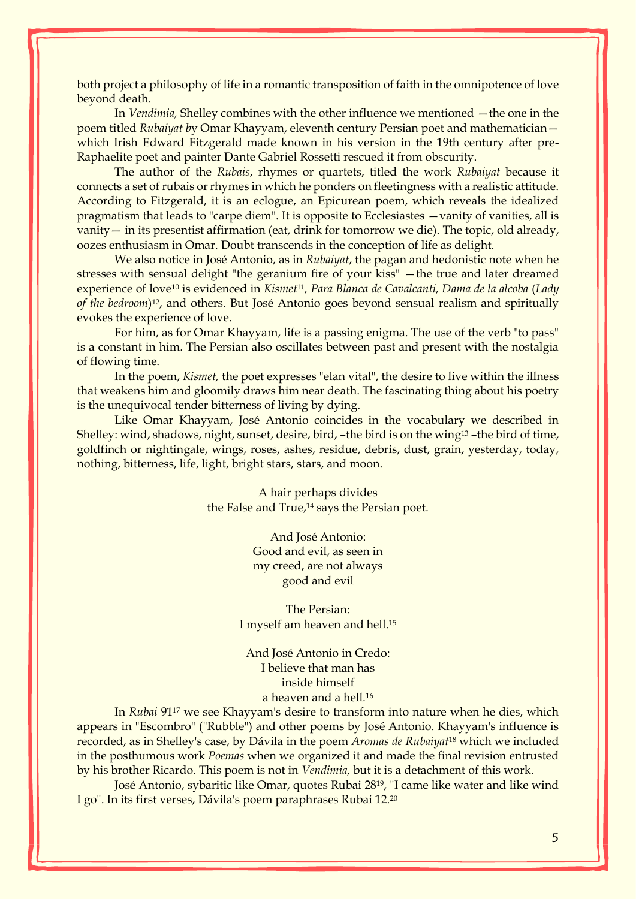both project a philosophy of life in a romantic transposition of faith in the omnipotence of love beyond death.

In *Vendimia*, Shelley combines with the other influence we mentioned — the one in the poem titled *Rubaiyat b*y Omar Khayyam, eleventh century Persian poet and mathematician which Irish Edward Fitzgerald made known in his version in the 19th century after pre-Raphaelite poet and painter Dante Gabriel Rossetti rescued it from obscurity.

The author of the *Rubais*, rhymes or quartets, titled the work *Rubaiyat* because it connects a set of rubais or rhymes in which he ponders on fleetingness with a realistic attitude. According to Fitzgerald, it is an eclogue, an Epicurean poem, which reveals the idealized pragmatism that leads to "carpe diem". It is opposite to Ecclesiastes —vanity of vanities, all is vanity— in its presentist affirmation (eat, drink for tomorrow we die). The topic, old already, oozes enthusiasm in Omar. Doubt transcends in the conception of life as delight.

We also notice in José Antonio, as in *Rubaiyat*, the pagan and hedonistic note when he stresses with sensual delight "the geranium fire of your kiss" —the true and later dreamed experience of love<sup>10</sup> is evidenced in *Kismet*11*, Para Blanca de Cavalcanti, Dama de la alcoba* (*Lady of the bedroom*) <sup>12</sup>, and others. But José Antonio goes beyond sensual realism and spiritually evokes the experience of love.

For him, as for Omar Khayyam, life is a passing enigma. The use of the verb "to pass" is a constant in him. The Persian also oscillates between past and present with the nostalgia of flowing time.

In the poem, *Kismet,* the poet expresses "elan vital", the desire to live within the illness that weakens him and gloomily draws him near death. The fascinating thing about his poetry is the unequivocal tender bitterness of living by dying.

Like Omar Khayyam, José Antonio coincides in the vocabulary we described in Shelley: wind, shadows, night, sunset, desire, bird, -the bird is on the wing<sup>13</sup> -the bird of time, goldfinch or nightingale, wings, roses, ashes, residue, debris, dust, grain, yesterday, today, nothing, bitterness, life, light, bright stars, stars, and moon.

> A hair perhaps divides the False and True,<sup>14</sup> says the Persian poet.

> > And José Antonio: Good and evil, as seen in my creed, are not always good and evil

The Persian: I myself am heaven and hell.<sup>15</sup>

And José Antonio in Credo: I believe that man has inside himself a heaven and a hell.<sup>16</sup>

In *Rubai* 91<sup>17</sup> we see Khayyam's desire to transform into nature when he dies, which appears in "Escombro" ("Rubble") and other poems by José Antonio. Khayyam's influence is recorded, as in Shelley's case, by Dávila in the poem *Aromas de Rubaiyat*<sup>18</sup> which we included in the posthumous work *Poemas* when we organized it and made the final revision entrusted by his brother Ricardo. This poem is not in *Vendimia,* but it is a detachment of this work.

José Antonio, sybaritic like Omar, quotes Rubai 2819, "I came like water and like wind I go". In its first verses, Dávila's poem paraphrases Rubai 12.20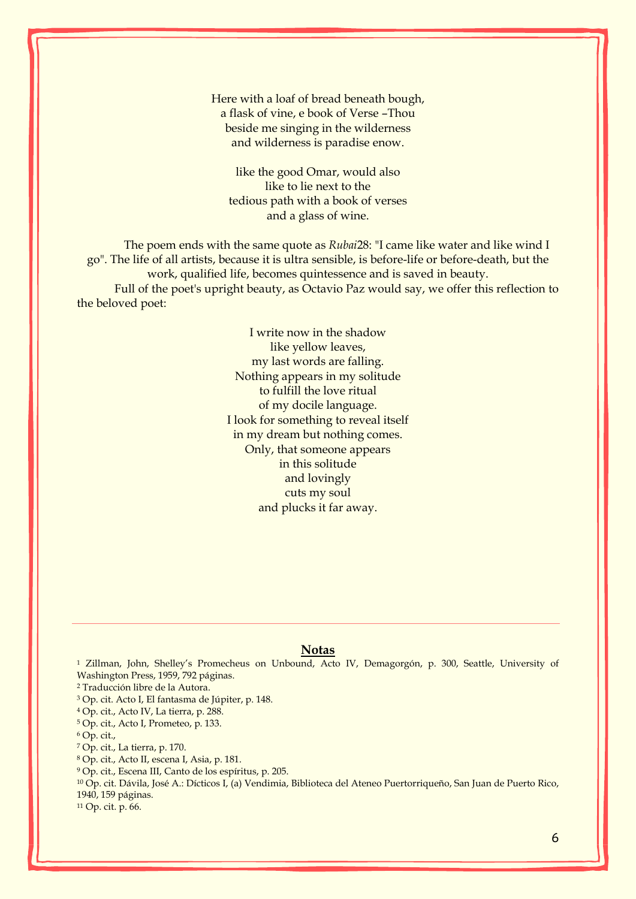Here with a loaf of bread beneath bough, a flask of vine, e book of Verse –Thou beside me singing in the wilderness and wilderness is paradise enow.

like the good Omar, would also like to lie next to the tedious path with a book of verses and a glass of wine.

The poem ends with the same quote as *Rubai*28: "I came like water and like wind I go". The life of all artists, because it is ultra sensible, is before-life or before-death, but the work, qualified life, becomes quintessence and is saved in beauty. Full of the poet's upright beauty, as Octavio Paz would say, we offer this reflection to the beloved poet:

> I write now in the shadow like yellow leaves, my last words are falling. Nothing appears in my solitude to fulfill the love ritual of my docile language. I look for something to reveal itself in my dream but nothing comes. Only, that someone appears in this solitude and lovingly cuts my soul and plucks it far away.

## **Notas**

<sup>1</sup> Zillman, John, Shelley's Promecheus on Unbound, Acto IV, Demagorgón, p. 300, Seattle, University of Washington Press, 1959, 792 páginas.

<sup>2</sup> Traducción libre de la Autora.

<sup>3</sup> Op. cit. Acto I, El fantasma de Júpiter, p. 148.

<sup>4</sup> Op. cit., Acto IV, La tierra, p. 288.

<sup>5</sup> Op. cit., Acto I, Prometeo, p. 133.

<sup>6</sup> Op. cit.,

<sup>7</sup> Op. cit., La tierra, p. 170.

<sup>8</sup> Op. cit., Acto II, escena I, Asia, p. 181.

<sup>9</sup> Op. cit., Escena III, Canto de los espíritus, p. 205.

<sup>10</sup> Op. cit. Dávila, José A.: Dícticos I, (a) Vendimia, Biblioteca del Ateneo Puertorriqueño, San Juan de Puerto Rico, 1940, 159 páginas.

<sup>11</sup> Op. cit. p. 66.